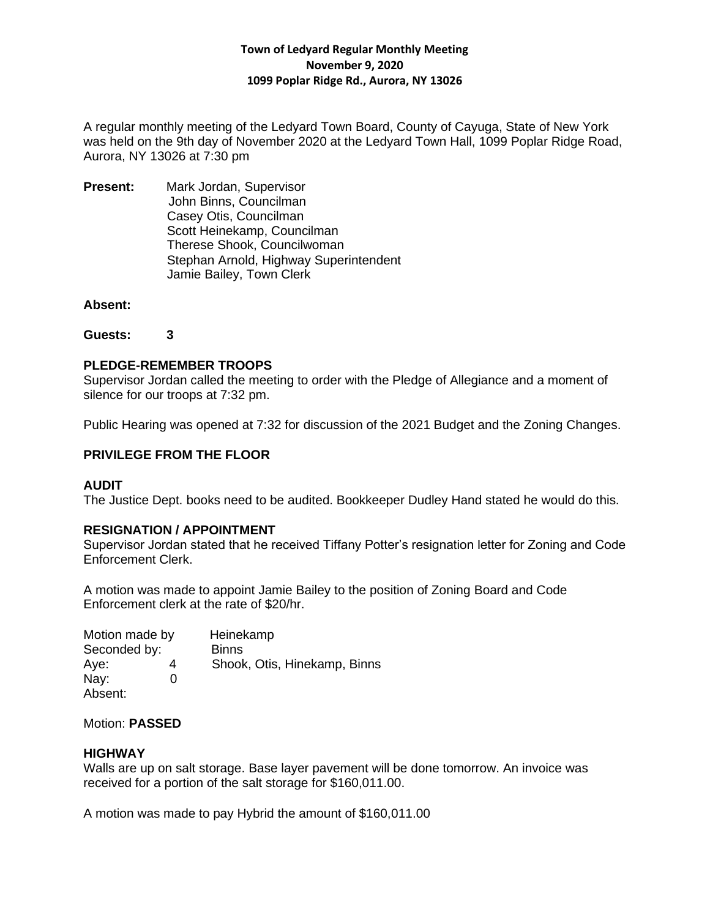A regular monthly meeting of the Ledyard Town Board, County of Cayuga, State of New York was held on the 9th day of November 2020 at the Ledyard Town Hall, 1099 Poplar Ridge Road, Aurora, NY 13026 at 7:30 pm

**Present:** Mark Jordan, Supervisor John Binns, Councilman Casey Otis, Councilman Scott Heinekamp, Councilman Therese Shook, Councilwoman Stephan Arnold, Highway Superintendent Jamie Bailey, Town Clerk

#### **Absent:**

**Guests: 3**

## **PLEDGE-REMEMBER TROOPS**

Supervisor Jordan called the meeting to order with the Pledge of Allegiance and a moment of silence for our troops at 7:32 pm.

Public Hearing was opened at 7:32 for discussion of the 2021 Budget and the Zoning Changes.

## **PRIVILEGE FROM THE FLOOR**

# **AUDIT**

The Justice Dept. books need to be audited. Bookkeeper Dudley Hand stated he would do this.

# **RESIGNATION / APPOINTMENT**

Supervisor Jordan stated that he received Tiffany Potter's resignation letter for Zoning and Code Enforcement Clerk.

A motion was made to appoint Jamie Bailey to the position of Zoning Board and Code Enforcement clerk at the rate of \$20/hr.

| Motion made by |   | Heinekamp                    |
|----------------|---|------------------------------|
| Seconded by:   |   | <b>Binns</b>                 |
| Aye:           | 4 | Shook, Otis, Hinekamp, Binns |
| Nay:           | O |                              |
| Absent:        |   |                              |

Motion: **PASSED**

#### **HIGHWAY**

Walls are up on salt storage. Base layer pavement will be done tomorrow. An invoice was received for a portion of the salt storage for \$160,011.00.

A motion was made to pay Hybrid the amount of \$160,011.00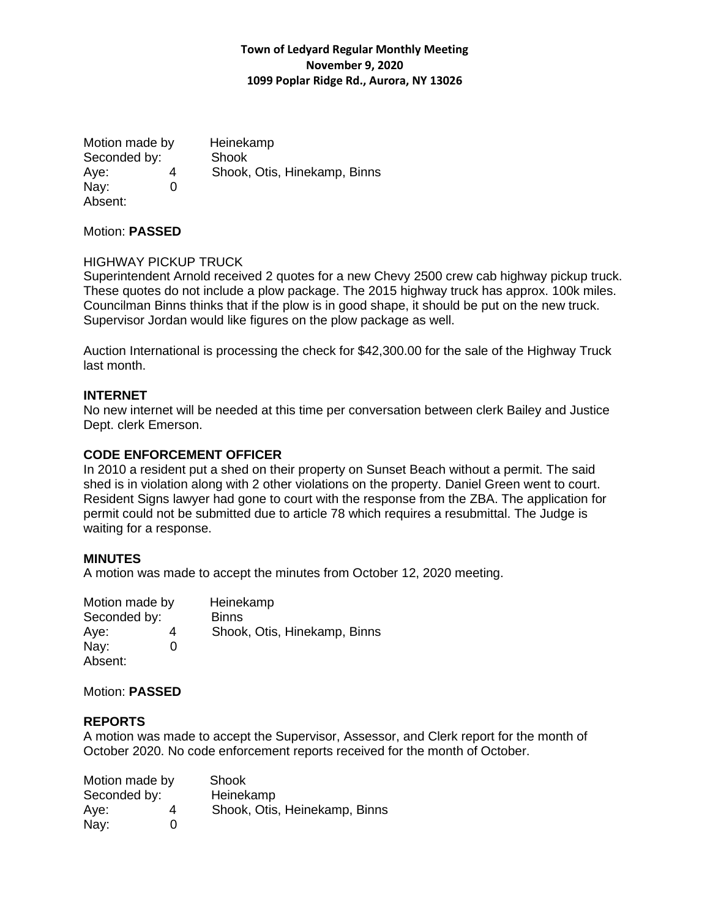Motion made by Heinekamp Seconded by: Shook Aye: 4 Shook, Otis, Hinekamp, Binns Nav: 0 Absent:

Motion: **PASSED**

#### HIGHWAY PICKUP TRUCK

Superintendent Arnold received 2 quotes for a new Chevy 2500 crew cab highway pickup truck. These quotes do not include a plow package. The 2015 highway truck has approx. 100k miles. Councilman Binns thinks that if the plow is in good shape, it should be put on the new truck. Supervisor Jordan would like figures on the plow package as well.

Auction International is processing the check for \$42,300.00 for the sale of the Highway Truck last month.

## **INTERNET**

No new internet will be needed at this time per conversation between clerk Bailey and Justice Dept. clerk Emerson.

### **CODE ENFORCEMENT OFFICER**

In 2010 a resident put a shed on their property on Sunset Beach without a permit. The said shed is in violation along with 2 other violations on the property. Daniel Green went to court. Resident Signs lawyer had gone to court with the response from the ZBA. The application for permit could not be submitted due to article 78 which requires a resubmittal. The Judge is waiting for a response.

#### **MINUTES**

A motion was made to accept the minutes from October 12, 2020 meeting.

| Motion made by |   | Heinekamp                    |
|----------------|---|------------------------------|
| Seconded by:   |   | <b>Binns</b>                 |
| Aye:           | 4 | Shook, Otis, Hinekamp, Binns |
| Nay:           | O |                              |
| Absent:        |   |                              |

Motion: **PASSED**

#### **REPORTS**

A motion was made to accept the Supervisor, Assessor, and Clerk report for the month of October 2020. No code enforcement reports received for the month of October.

| Motion made by |   | Shook                         |
|----------------|---|-------------------------------|
| Seconded by:   |   | Heinekamp                     |
| Aye:           | 4 | Shook, Otis, Heinekamp, Binns |
| Nay:           | 0 |                               |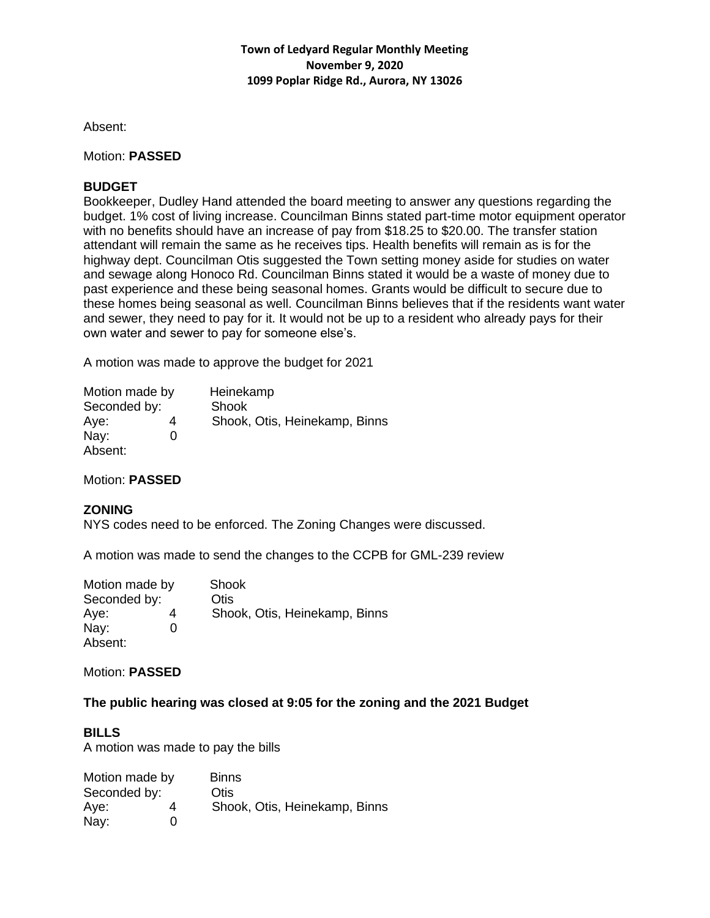Absent:

### Motion: **PASSED**

## **BUDGET**

Bookkeeper, Dudley Hand attended the board meeting to answer any questions regarding the budget. 1% cost of living increase. Councilman Binns stated part-time motor equipment operator with no benefits should have an increase of pay from \$18.25 to \$20.00. The transfer station attendant will remain the same as he receives tips. Health benefits will remain as is for the highway dept. Councilman Otis suggested the Town setting money aside for studies on water and sewage along Honoco Rd. Councilman Binns stated it would be a waste of money due to past experience and these being seasonal homes. Grants would be difficult to secure due to these homes being seasonal as well. Councilman Binns believes that if the residents want water and sewer, they need to pay for it. It would not be up to a resident who already pays for their own water and sewer to pay for someone else's.

A motion was made to approve the budget for 2021

| Motion made by |   | Heinekamp                     |
|----------------|---|-------------------------------|
| Seconded by:   |   | Shook                         |
| Aye:           |   | Shook, Otis, Heinekamp, Binns |
| Nay:           | O |                               |
| Absent:        |   |                               |

Motion: **PASSED**

# **ZONING**

NYS codes need to be enforced. The Zoning Changes were discussed.

A motion was made to send the changes to the CCPB for GML-239 review

| Motion made by |   | Shook                         |
|----------------|---|-------------------------------|
| Seconded by:   |   | Otis                          |
| Aye:           |   | Shook, Otis, Heinekamp, Binns |
| Nay:           | 0 |                               |
| Absent:        |   |                               |

Motion: **PASSED**

### **The public hearing was closed at 9:05 for the zoning and the 2021 Budget**

#### **BILLS**

A motion was made to pay the bills

| Motion made by |   | <b>Binns</b>                  |
|----------------|---|-------------------------------|
| Seconded by:   |   | Otis                          |
| Aye:           | 4 | Shook, Otis, Heinekamp, Binns |
| Nay:           | 0 |                               |